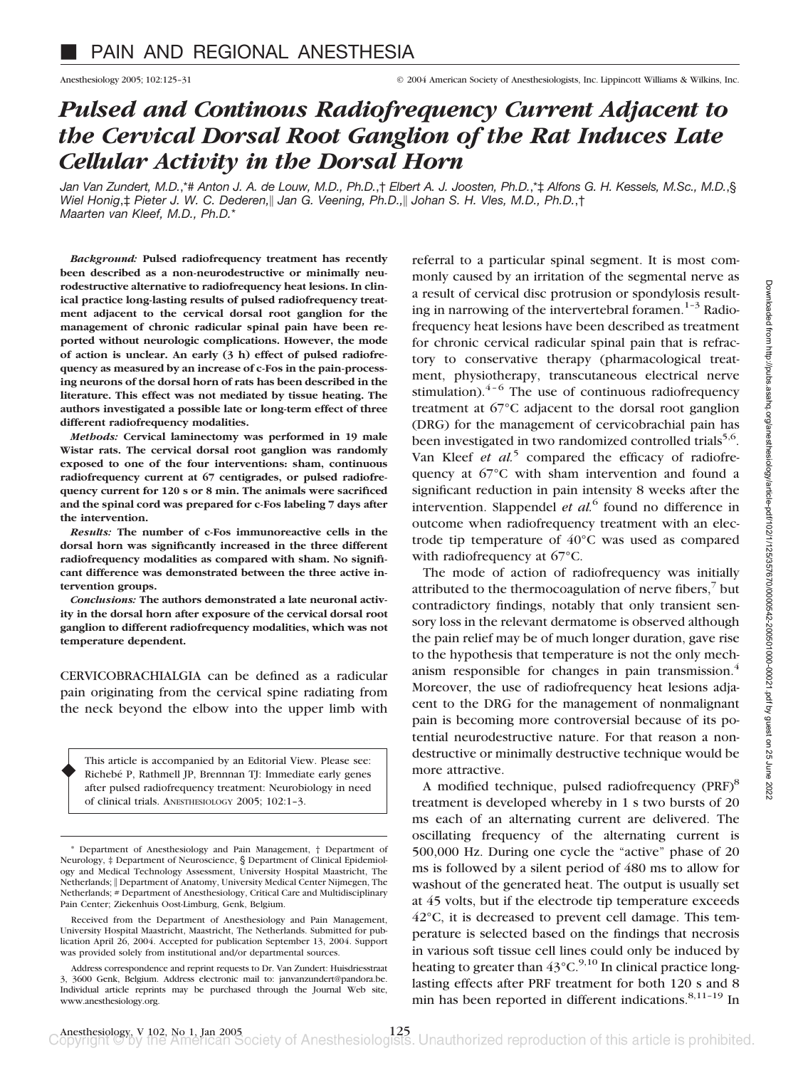# *Pulsed and Continous Radiofrequency Current Adjacent to the Cervical Dorsal Root Ganglion of the Rat Induces Late Cellular Activity in the Dorsal Horn*

*Jan Van Zundert, M.D.*,\*# *Anton J. A. de Louw, M.D., Ph.D.*,† *Elbert A. J. Joosten, Ph.D.*,\*‡ *Alfons G. H. Kessels, M.Sc., M.D.*,§ *Wiel Honig*,‡ *Pieter J. W. C. Dederen,*- *Jan G. Veening, Ph.D.,*- *Johan S. H. Vles, M.D., Ph.D.*,† *Maarten van Kleef, M.D., Ph.D.*\*

*Background:* **Pulsed radiofrequency treatment has recently been described as a non-neurodestructive or minimally neurodestructive alternative to radiofrequency heat lesions. In clinical practice long-lasting results of pulsed radiofrequency treatment adjacent to the cervical dorsal root ganglion for the management of chronic radicular spinal pain have been reported without neurologic complications. However, the mode of action is unclear. An early (3 h) effect of pulsed radiofrequency as measured by an increase of c-Fos in the pain-processing neurons of the dorsal horn of rats has been described in the literature. This effect was not mediated by tissue heating. The authors investigated a possible late or long-term effect of three different radiofrequency modalities.**

*Methods:* **Cervical laminectomy was performed in 19 male Wistar rats. The cervical dorsal root ganglion was randomly exposed to one of the four interventions: sham, continuous radiofrequency current at 67 centigrades, or pulsed radiofrequency current for 120 s or 8 min. The animals were sacrificed and the spinal cord was prepared for c-Fos labeling 7 days after the intervention.**

*Results:* **The number of c-Fos immunoreactive cells in the dorsal horn was significantly increased in the three different radiofrequency modalities as compared with sham. No significant difference was demonstrated between the three active intervention groups.**

*Conclusions:* **The authors demonstrated a late neuronal activity in the dorsal horn after exposure of the cervical dorsal root ganglion to different radiofrequency modalities, which was not temperature dependent.**

CERVICOBRACHIALGIA can be defined as a radicular pain originating from the cervical spine radiating from the neck beyond the elbow into the upper limb with

This article is accompanied by an Editorial View. Please see: Richebé P, Rathmell JP, Brennnan TJ: Immediate early genes after pulsed radiofrequency treatment: Neurobiology in need of clinical trials. ANESTHESIOLOGY 2005; 102:1–3.

♦

\* Department of Anesthesiology and Pain Management, † Department of Neurology, ‡ Department of Neuroscience, § Department of Clinical Epidemiology and Medical Technology Assessment, University Hospital Maastricht, The Netherlands; | Department of Anatomy, University Medical Center Nijmegen, The Netherlands; # Department of Anesthesiology, Critical Care and Multidisciplinary Pain Center; Ziekenhuis Oost-Limburg, Genk, Belgium.

Received from the Department of Anesthesiology and Pain Management, University Hospital Maastricht, Maastricht, The Netherlands. Submitted for publication April 26, 2004. Accepted for publication September 13, 2004. Support was provided solely from institutional and/or departmental sources.

Address correspondence and reprint requests to Dr. Van Zundert: Huisdriesstraat 3, 3600 Genk, Belgium. Address electronic mail to: janvanzundert@pandora.be. Individual article reprints may be purchased through the Journal Web site, www.anesthesiology.org.

referral to a particular spinal segment. It is most commonly caused by an irritation of the segmental nerve as a result of cervical disc protrusion or spondylosis resulting in narrowing of the intervertebral foramen.<sup>1-3</sup> Radiofrequency heat lesions have been described as treatment for chronic cervical radicular spinal pain that is refractory to conservative therapy (pharmacological treatment, physiotherapy, transcutaneous electrical nerve stimulation). $4-6$  The use of continuous radiofrequency treatment at 67°C adjacent to the dorsal root ganglion (DRG) for the management of cervicobrachial pain has been investigated in two randomized controlled trials<sup>5,6</sup>. Van Kleef *et al.*<sup>5</sup> compared the efficacy of radiofrequency at 67°C with sham intervention and found a significant reduction in pain intensity 8 weeks after the intervention. Slappendel *et al.*<sup>6</sup> found no difference in outcome when radiofrequency treatment with an electrode tip temperature of 40°C was used as compared with radiofrequency at 67°C.

The mode of action of radiofrequency was initially attributed to the thermocoagulation of nerve fibers, $\frac{7}{1}$  but contradictory findings, notably that only transient sensory loss in the relevant dermatome is observed although the pain relief may be of much longer duration, gave rise to the hypothesis that temperature is not the only mechanism responsible for changes in pain transmission.<sup>4</sup> Moreover, the use of radiofrequency heat lesions adjacent to the DRG for the management of nonmalignant pain is becoming more controversial because of its potential neurodestructive nature. For that reason a nondestructive or minimally destructive technique would be more attractive.

A modified technique, pulsed radiofrequency (PRF)<sup>8</sup> treatment is developed whereby in 1 s two bursts of 20 ms each of an alternating current are delivered. The oscillating frequency of the alternating current is 500,000 Hz. During one cycle the "active" phase of 20 ms is followed by a silent period of 480 ms to allow for washout of the generated heat. The output is usually set at 45 volts, but if the electrode tip temperature exceeds 42°C, it is decreased to prevent cell damage. This temperature is selected based on the findings that necrosis in various soft tissue cell lines could only be induced by heating to greater than  $43^{\circ}$ C.<sup>9,10</sup> In clinical practice longlasting effects after PRF treatment for both 120 s and 8 min has been reported in different indications.<sup>8,11-19</sup> In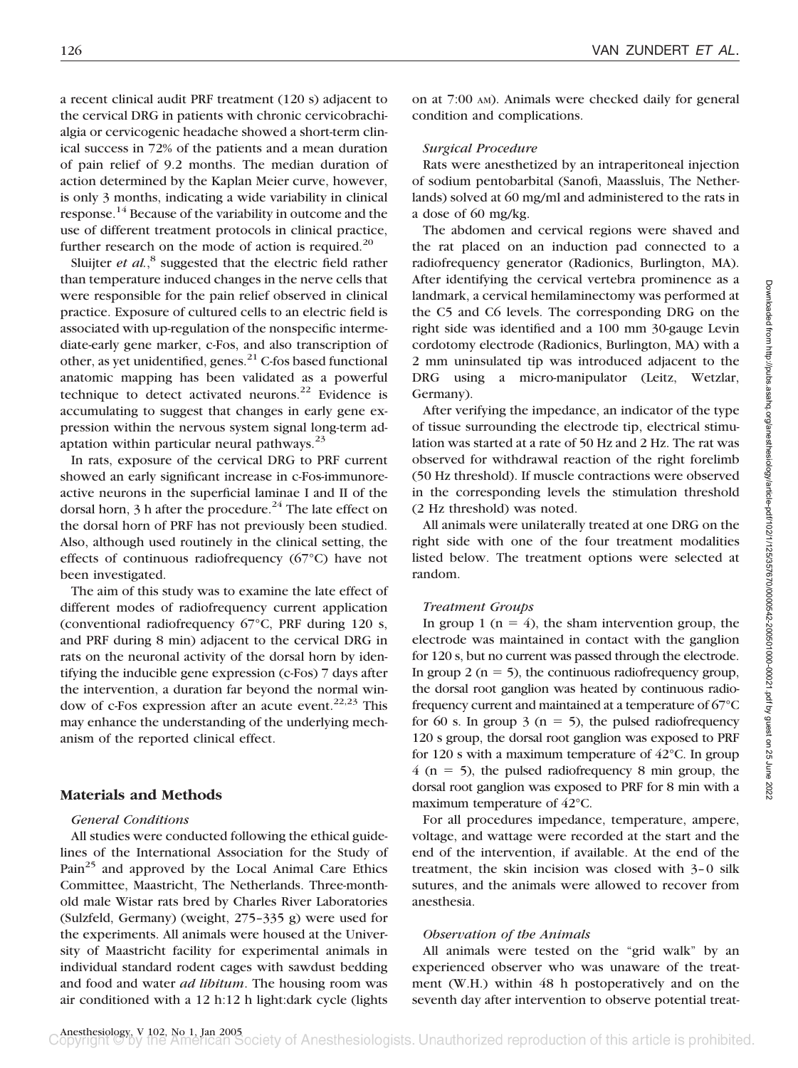a recent clinical audit PRF treatment (120 s) adjacent to the cervical DRG in patients with chronic cervicobrachialgia or cervicogenic headache showed a short-term clinical success in 72% of the patients and a mean duration of pain relief of 9.2 months. The median duration of action determined by the Kaplan Meier curve, however, is only 3 months, indicating a wide variability in clinical response.<sup>14</sup> Because of the variability in outcome and the use of different treatment protocols in clinical practice, further research on the mode of action is required.<sup>20</sup>

Sluijter *et al.*<sup>8</sup> suggested that the electric field rather than temperature induced changes in the nerve cells that were responsible for the pain relief observed in clinical practice. Exposure of cultured cells to an electric field is associated with up-regulation of the nonspecific intermediate-early gene marker, c-Fos, and also transcription of other, as yet unidentified, genes.<sup>21</sup> C-fos based functional anatomic mapping has been validated as a powerful technique to detect activated neurons. $22$  Evidence is accumulating to suggest that changes in early gene expression within the nervous system signal long-term adaptation within particular neural pathways. $^{23}$ 

In rats, exposure of the cervical DRG to PRF current showed an early significant increase in c-Fos-immunoreactive neurons in the superficial laminae I and II of the dorsal horn,  $3$  h after the procedure.<sup>24</sup> The late effect on the dorsal horn of PRF has not previously been studied. Also, although used routinely in the clinical setting, the effects of continuous radiofrequency (67°C) have not been investigated.

The aim of this study was to examine the late effect of different modes of radiofrequency current application (conventional radiofrequency 67°C, PRF during 120 s, and PRF during 8 min) adjacent to the cervical DRG in rats on the neuronal activity of the dorsal horn by identifying the inducible gene expression (c-Fos) 7 days after the intervention, a duration far beyond the normal window of c-Fos expression after an acute event. $22,23$  This may enhance the understanding of the underlying mechanism of the reported clinical effect.

## **Materials and Methods**

### *General Conditions*

All studies were conducted following the ethical guidelines of the International Association for the Study of Pain<sup>25</sup> and approved by the Local Animal Care Ethics Committee, Maastricht, The Netherlands. Three-monthold male Wistar rats bred by Charles River Laboratories (Sulzfeld, Germany) (weight, 275–335 g) were used for the experiments. All animals were housed at the University of Maastricht facility for experimental animals in individual standard rodent cages with sawdust bedding and food and water *ad libitum*. The housing room was air conditioned with a 12 h:12 h light:dark cycle (lights

on at 7:00 AM). Animals were checked daily for general condition and complications.

## *Surgical Procedure*

Rats were anesthetized by an intraperitoneal injection of sodium pentobarbital (Sanofi, Maassluis, The Netherlands) solved at 60 mg/ml and administered to the rats in a dose of 60 mg/kg.

The abdomen and cervical regions were shaved and the rat placed on an induction pad connected to a radiofrequency generator (Radionics, Burlington, MA). After identifying the cervical vertebra prominence as a landmark, a cervical hemilaminectomy was performed at the C5 and C6 levels. The corresponding DRG on the right side was identified and a 100 mm 30-gauge Levin cordotomy electrode (Radionics, Burlington, MA) with a 2 mm uninsulated tip was introduced adjacent to the DRG using a micro-manipulator (Leitz, Wetzlar, Germany).

After verifying the impedance, an indicator of the type of tissue surrounding the electrode tip, electrical stimulation was started at a rate of 50 Hz and 2 Hz. The rat was observed for withdrawal reaction of the right forelimb (50 Hz threshold). If muscle contractions were observed in the corresponding levels the stimulation threshold (2 Hz threshold) was noted.

All animals were unilaterally treated at one DRG on the right side with one of the four treatment modalities listed below. The treatment options were selected at random.

## *Treatment Groups*

In group 1 ( $n = 4$ ), the sham intervention group, the electrode was maintained in contact with the ganglion for 120 s, but no current was passed through the electrode. In group 2 ( $n = 5$ ), the continuous radiofrequency group, the dorsal root ganglion was heated by continuous radiofrequency current and maintained at a temperature of 67°C for 60 s. In group 3 ( $n = 5$ ), the pulsed radiofrequency 120 s group, the dorsal root ganglion was exposed to PRF for 120 s with a maximum temperature of 42°C. In group  $4$  (n = 5), the pulsed radiofrequency 8 min group, the dorsal root ganglion was exposed to PRF for 8 min with a maximum temperature of 42°C.

For all procedures impedance, temperature, ampere, voltage, and wattage were recorded at the start and the end of the intervention, if available. At the end of the treatment, the skin incision was closed with 3–0 silk sutures, and the animals were allowed to recover from anesthesia.

## *Observation of the Animals*

All animals were tested on the "grid walk" by an experienced observer who was unaware of the treatment (W.H.) within 48 h postoperatively and on the seventh day after intervention to observe potential treat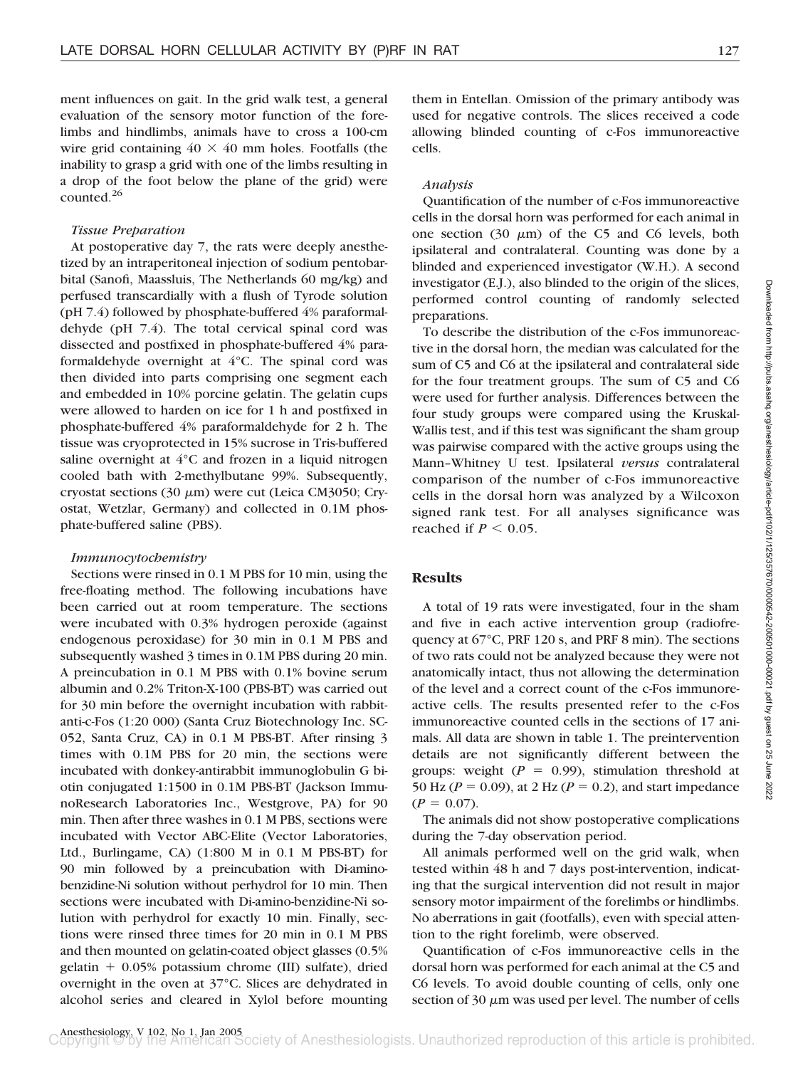ment influences on gait. In the grid walk test, a general evaluation of the sensory motor function of the forelimbs and hindlimbs, animals have to cross a 100-cm wire grid containing  $40 \times 40$  mm holes. Footfalls (the inability to grasp a grid with one of the limbs resulting in a drop of the foot below the plane of the grid) were counted<sup>26</sup>

#### *Tissue Preparation*

At postoperative day 7, the rats were deeply anesthetized by an intraperitoneal injection of sodium pentobarbital (Sanofi, Maassluis, The Netherlands 60 mg/kg) and perfused transcardially with a flush of Tyrode solution (pH 7.4) followed by phosphate-buffered 4% paraformaldehyde (pH 7.4). The total cervical spinal cord was dissected and postfixed in phosphate-buffered 4% paraformaldehyde overnight at 4°C. The spinal cord was then divided into parts comprising one segment each and embedded in 10% porcine gelatin. The gelatin cups were allowed to harden on ice for 1 h and postfixed in phosphate-buffered 4% paraformaldehyde for 2 h. The tissue was cryoprotected in 15% sucrose in Tris-buffered saline overnight at 4°C and frozen in a liquid nitrogen cooled bath with 2-methylbutane 99%. Subsequently, cryostat sections (30  $\mu$ m) were cut (Leica CM3050; Cryostat, Wetzlar, Germany) and collected in 0.1M phosphate-buffered saline (PBS).

#### *Immunocytochemistry*

Sections were rinsed in 0.1 M PBS for 10 min, using the free-floating method. The following incubations have been carried out at room temperature. The sections were incubated with 0.3% hydrogen peroxide (against endogenous peroxidase) for 30 min in 0.1 M PBS and subsequently washed 3 times in 0.1M PBS during 20 min. A preincubation in 0.1 M PBS with 0.1% bovine serum albumin and 0.2% Triton-X-100 (PBS-BT) was carried out for 30 min before the overnight incubation with rabbitanti-c-Fos (1:20 000) (Santa Cruz Biotechnology Inc. SC-052, Santa Cruz, CA) in 0.1 M PBS-BT. After rinsing 3 times with 0.1M PBS for 20 min, the sections were incubated with donkey-antirabbit immunoglobulin G biotin conjugated 1:1500 in 0.1M PBS-BT (Jackson ImmunoResearch Laboratories Inc., Westgrove, PA) for 90 min. Then after three washes in 0.1 M PBS, sections were incubated with Vector ABC-Elite (Vector Laboratories, Ltd., Burlingame, CA) (1:800 M in 0.1 M PBS-BT) for 90 min followed by a preincubation with Di-aminobenzidine-Ni solution without perhydrol for 10 min. Then sections were incubated with Di-amino-benzidine-Ni solution with perhydrol for exactly 10 min. Finally, sections were rinsed three times for 20 min in 0.1 M PBS and then mounted on gelatin-coated object glasses (0.5% gelatin  $+$  0.05% potassium chrome (III) sulfate), dried overnight in the oven at 37°C. Slices are dehydrated in alcohol series and cleared in Xylol before mounting

them in Entellan. Omission of the primary antibody was used for negative controls. The slices received a code allowing blinded counting of c-Fos immunoreactive cells.

#### *Analysis*

Quantification of the number of c-Fos immunoreactive cells in the dorsal horn was performed for each animal in one section (30  $\mu$ m) of the C5 and C6 levels, both ipsilateral and contralateral. Counting was done by a blinded and experienced investigator (W.H.). A second investigator (E.J.), also blinded to the origin of the slices, performed control counting of randomly selected preparations.

To describe the distribution of the c-Fos immunoreactive in the dorsal horn, the median was calculated for the sum of C5 and C6 at the ipsilateral and contralateral side for the four treatment groups. The sum of C5 and C6 were used for further analysis. Differences between the four study groups were compared using the Kruskal-Wallis test, and if this test was significant the sham group was pairwise compared with the active groups using the Mann–Whitney U test. Ipsilateral *versus* contralateral comparison of the number of c-Fos immunoreactive cells in the dorsal horn was analyzed by a Wilcoxon signed rank test. For all analyses significance was reached if  $P < 0.05$ .

#### **Results**

A total of 19 rats were investigated, four in the sham and five in each active intervention group (radiofrequency at 67°C, PRF 120 s, and PRF 8 min). The sections of two rats could not be analyzed because they were not anatomically intact, thus not allowing the determination of the level and a correct count of the c-Fos immunoreactive cells. The results presented refer to the c-Fos immunoreactive counted cells in the sections of 17 animals. All data are shown in table 1. The preintervention details are not significantly different between the groups: weight  $(P = 0.99)$ , stimulation threshold at 50 Hz ( $P = 0.09$ ), at 2 Hz ( $P = 0.2$ ), and start impedance  $(P = 0.07)$ .

The animals did not show postoperative complications during the 7-day observation period.

All animals performed well on the grid walk, when tested within 48 h and 7 days post-intervention, indicating that the surgical intervention did not result in major sensory motor impairment of the forelimbs or hindlimbs. No aberrations in gait (footfalls), even with special attention to the right forelimb, were observed.

Quantification of c-Fos immunoreactive cells in the dorsal horn was performed for each animal at the C5 and C6 levels. To avoid double counting of cells, only one section of 30  $\mu$ m was used per level. The number of cells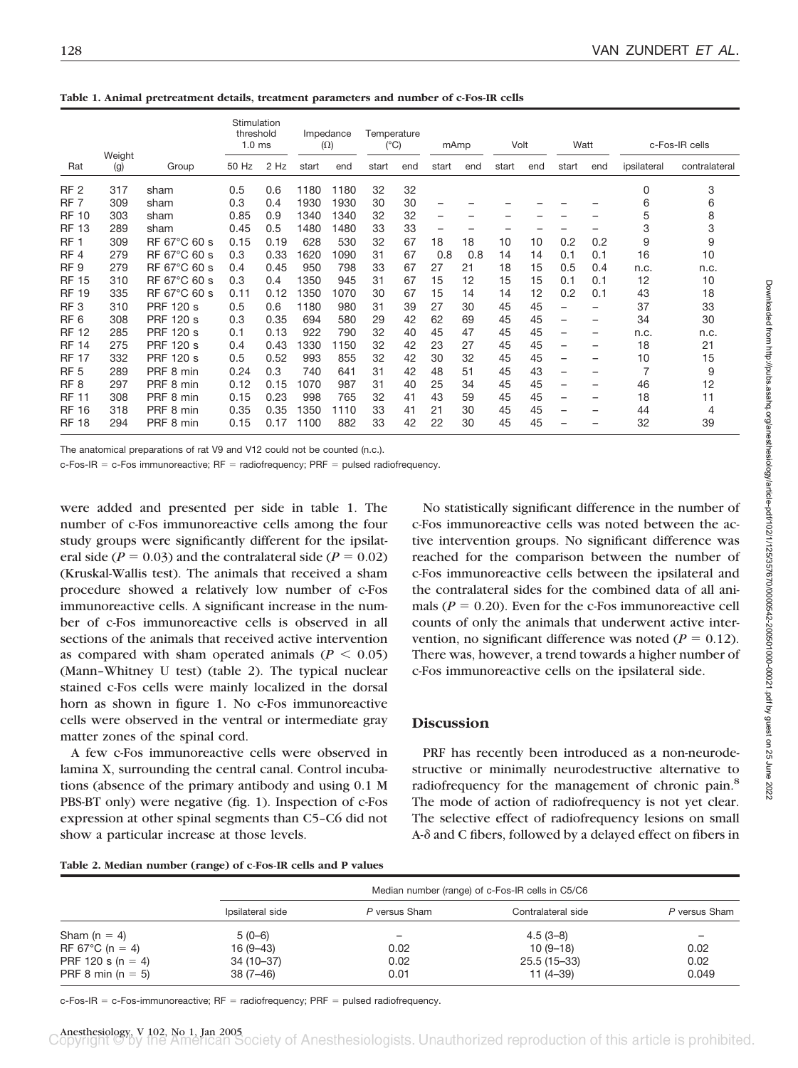|  | Table 1. Animal pretreatment details, treatment parameters and number of c-Fos-IR cells |  |  |  |  |
|--|-----------------------------------------------------------------------------------------|--|--|--|--|
|  |                                                                                         |  |  |  |  |

|                 |               |                  | Stimulation<br>threshold<br>1.0 <sub>ms</sub> |      |       | Impedance<br>$(\Omega)$ | Temperature<br>$(^{\circ}C)$ |     |                          | mAmp | Volt  |     | Watt  |     |             | c-Fos-IR cells |
|-----------------|---------------|------------------|-----------------------------------------------|------|-------|-------------------------|------------------------------|-----|--------------------------|------|-------|-----|-------|-----|-------------|----------------|
| Rat             | Weight<br>(g) | Group            | 50 Hz                                         | 2 Hz | start | end                     | start                        | end | start                    | end  | start | end | start | end | ipsilateral | contralateral  |
| RF <sub>2</sub> | 317           | sham             | 0.5                                           | 0.6  | 1180  | 1180                    | 32                           | 32  |                          |      |       |     |       |     | 0           | 3              |
| RF <sub>7</sub> | 309           | sham             | 0.3                                           | 0.4  | 1930  | 1930                    | 30                           | 30  |                          |      |       |     |       |     | 6           | 6              |
| <b>RF 10</b>    | 303           | sham             | 0.85                                          | 0.9  | 1340  | 1340                    | 32                           | 32  | $\overline{\phantom{0}}$ |      |       |     |       |     | 5           | 8              |
| <b>RF 13</b>    | 289           | sham             | 0.45                                          | 0.5  | 1480  | 1480                    | 33                           | 33  | $\qquad \qquad -$        | -    |       |     |       |     | 3           | 3              |
| RF <sub>1</sub> | 309           | RF 67°C 60 s     | 0.15                                          | 0.19 | 628   | 530                     | 32                           | 67  | 18                       | 18   | 10    | 10  | 0.2   | 0.2 | 9           | 9              |
| RF <sub>4</sub> | 279           | RF 67°C 60 s     | 0.3                                           | 0.33 | 620   | 1090                    | 31                           | 67  | 0.8                      | 0.8  | 14    | 14  | 0.1   | 0.1 | 16          | 10             |
| RF <sub>9</sub> | 279           | RF 67°C 60 s     | 0.4                                           | 0.45 | 950   | 798                     | 33                           | 67  | 27                       | 21   | 18    | 15  | 0.5   | 0.4 | n.c.        | n.c.           |
| <b>RF 15</b>    | 310           | RF 67°C 60 s     | 0.3                                           | 0.4  | 1350  | 945                     | 31                           | 67  | 15                       | 12   | 15    | 15  | 0.1   | 0.1 | 12          | 10             |
| <b>RF 19</b>    | 335           | RF 67°C 60 s     | 0.11                                          | 0.12 | 1350  | 1070                    | 30                           | 67  | 15                       | 14   | 14    | 12  | 0.2   | 0.1 | 43          | 18             |
| RF <sub>3</sub> | 310           | <b>PRF 120 s</b> | 0.5                                           | 0.6  | 1180  | 980                     | 31                           | 39  | 27                       | 30   | 45    | 45  | -     | -   | 37          | 33             |
| RF <sub>6</sub> | 308           | <b>PRF 120 s</b> | 0.3                                           | 0.35 | 694   | 580                     | 29                           | 42  | 62                       | 69   | 45    | 45  | -     | -   | 34          | 30             |
| <b>RF 12</b>    | 285           | <b>PRF 120 s</b> | 0.1                                           | 0.13 | 922   | 790                     | 32                           | 40  | 45                       | 47   | 45    | 45  | -     | -   | n.c.        | n.c.           |
| <b>RF 14</b>    | 275           | <b>PRF 120 s</b> | 0.4                                           | 0.43 | 330   | 1150                    | 32                           | 42  | 23                       | 27   | 45    | 45  | -     | -   | 18          | 21             |
| <b>RF 17</b>    | 332           | <b>PRF 120 s</b> | 0.5                                           | 0.52 | 993   | 855                     | 32                           | 42  | 30                       | 32   | 45    | 45  | -     | -   | 10          | 15             |
| RF <sub>5</sub> | 289           | PRF 8 min        | 0.24                                          | 0.3  | 740   | 641                     | 31                           | 42  | 48                       | 51   | 45    | 43  | -     |     | 7           | 9              |
| RF <sub>8</sub> | 297           | PRF 8 min        | 0.12                                          | 0.15 | 1070  | 987                     | 31                           | 40  | 25                       | 34   | 45    | 45  | -     | -   | 46          | 12             |
| <b>RF 11</b>    | 308           | PRF 8 min        | 0.15                                          | 0.23 | 998   | 765                     | 32                           | 41  | 43                       | 59   | 45    | 45  | -     | -   | 18          | 11             |
| <b>RF 16</b>    | 318           | PRF 8 min        | 0.35                                          | 0.35 | 1350  | 1110                    | 33                           | 41  | 21                       | 30   | 45    | 45  | -     | -   | 44          | 4              |
| <b>RF 18</b>    | 294           | PRF 8 min        | 0.15                                          | 0.17 | 1100  | 882                     | 33                           | 42  | 22                       | 30   | 45    | 45  |       |     | 32          | 39             |

The anatomical preparations of rat V9 and V12 could not be counted (n.c.).

c-Fos-IR = c-Fos immunoreactive;  $RF =$  radiofrequency; PRF = pulsed radiofrequency.

were added and presented per side in table 1. The number of c-Fos immunoreactive cells among the four study groups were significantly different for the ipsilateral side ( $P = 0.03$ ) and the contralateral side ( $P = 0.02$ ) (Kruskal-Wallis test). The animals that received a sham procedure showed a relatively low number of c-Fos immunoreactive cells. A significant increase in the number of c-Fos immunoreactive cells is observed in all sections of the animals that received active intervention as compared with sham operated animals ( $P < 0.05$ ) (Mann–Whitney U test) (table 2). The typical nuclear stained c-Fos cells were mainly localized in the dorsal horn as shown in figure 1. No c-Fos immunoreactive cells were observed in the ventral or intermediate gray matter zones of the spinal cord.

A few c-Fos immunoreactive cells were observed in lamina X, surrounding the central canal. Control incubations (absence of the primary antibody and using 0.1 M PBS-BT only) were negative (fig. 1). Inspection of c-Fos expression at other spinal segments than C5–C6 did not show a particular increase at those levels.

No statistically significant difference in the number of c-Fos immunoreactive cells was noted between the active intervention groups. No significant difference was reached for the comparison between the number of c-Fos immunoreactive cells between the ipsilateral and the contralateral sides for the combined data of all animals  $(P = 0.20)$ . Even for the c-Fos immunoreactive cell counts of only the animals that underwent active intervention, no significant difference was noted ( $P = 0.12$ ). There was, however, a trend towards a higher number of c-Fos immunoreactive cells on the ipsilateral side.

#### **Discussion**

PRF has recently been introduced as a non-neurodestructive or minimally neurodestructive alternative to radiofrequency for the management of chronic pain.<sup>8</sup> The mode of action of radiofrequency is not yet clear. The selective effect of radiofrequency lesions on small A- $\delta$  and C fibers, followed by a delayed effect on fibers in

|  |  | Table 2. Median number (range) of c-Fos-IR cells and P values |  |
|--|--|---------------------------------------------------------------|--|
|  |  |                                                               |  |

|                            |                  | Median number (range) of c-Fos-IR cells in C5/C6 |                    |               |  |  |  |  |  |
|----------------------------|------------------|--------------------------------------------------|--------------------|---------------|--|--|--|--|--|
|                            | Ipsilateral side | P versus Sham                                    | Contralateral side | P versus Sham |  |  |  |  |  |
| Sham $(n = 4)$             | $5(0-6)$         | -                                                | $4.5(3-8)$         |               |  |  |  |  |  |
| RF 67 $^{\circ}$ C (n = 4) | $16(9-43)$       | 0.02                                             | $10(9-18)$         | 0.02          |  |  |  |  |  |
| PRF 120 s (n = 4)          | 34 (10–37)       | 0.02                                             | $25.5(15-33)$      | 0.02          |  |  |  |  |  |
| PRF 8 min $(n = 5)$        | 38 (7–46)        | 0.01                                             | $11(4-39)$         | 0.049         |  |  |  |  |  |

Downloaded from http://pubs.asahq.org/anesthesiology/article-pdf/102/1/125/357670/0000542-200501000-00021.pdf by guest on 25 June 2022 Downloaded from http://pubs.asahq.org/anesthesiology/article-pdf/102/1/125/357670/0000542-200501000-00021.pdf by guest on 25 June 2022

c-Fos-IR = c-Fos-immunoreactive;  $RF =$  radiofrequency; PRF = pulsed radiofrequency.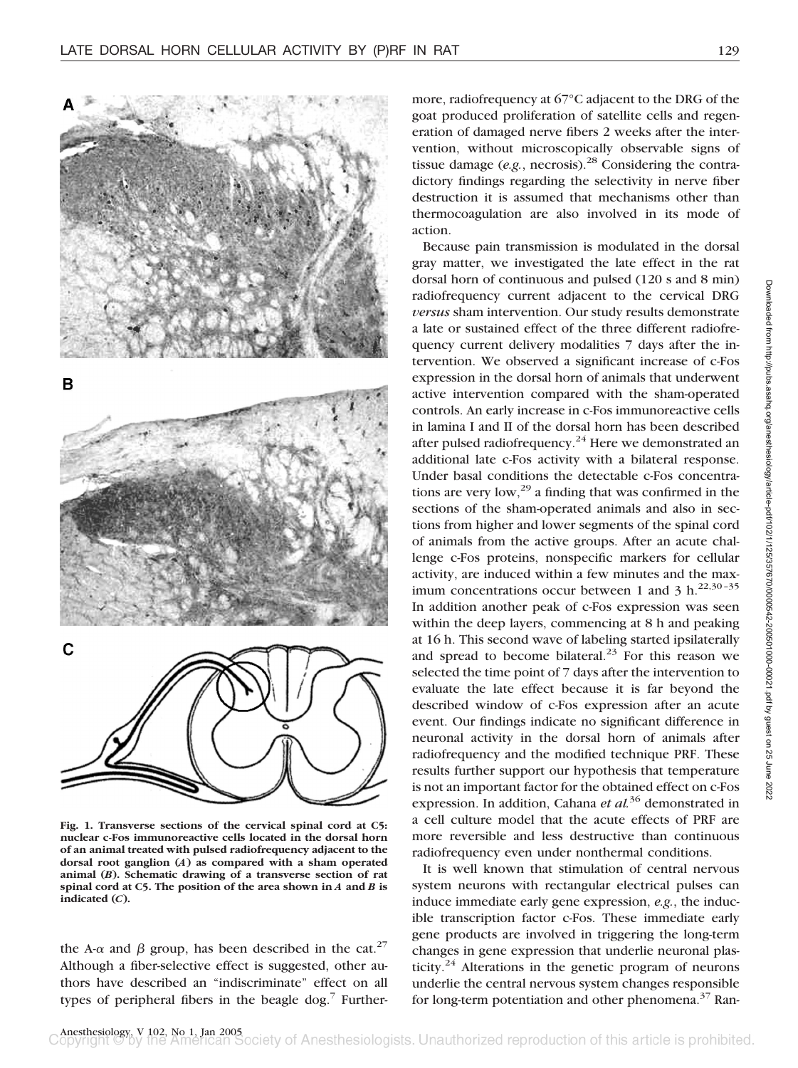



**Fig. 1. Transverse sections of the cervical spinal cord at C5: nuclear c-Fos immunoreactive cells located in the dorsal horn of an animal treated with pulsed radiofrequency adjacent to the dorsal root ganglion (***A***) as compared with a sham operated animal (***B***). Schematic drawing of a transverse section of rat spinal cord at C5. The position of the area shown in** *A* **and** *B* **is indicated (***C***).**

the A- $\alpha$  and  $\beta$  group, has been described in the cat.<sup>27</sup> Although a fiber-selective effect is suggested, other authors have described an "indiscriminate" effect on all types of peripheral fibers in the beagle dog.<sup>7</sup> Further-

more, radiofrequency at 67°C adjacent to the DRG of the goat produced proliferation of satellite cells and regeneration of damaged nerve fibers 2 weeks after the intervention, without microscopically observable signs of tissue damage (*e.g.*, necrosis).28 Considering the contradictory findings regarding the selectivity in nerve fiber destruction it is assumed that mechanisms other than thermocoagulation are also involved in its mode of action.

Because pain transmission is modulated in the dorsal gray matter, we investigated the late effect in the rat dorsal horn of continuous and pulsed (120 s and 8 min) radiofrequency current adjacent to the cervical DRG *versus* sham intervention. Our study results demonstrate a late or sustained effect of the three different radiofrequency current delivery modalities 7 days after the intervention. We observed a significant increase of c-Fos expression in the dorsal horn of animals that underwent active intervention compared with the sham-operated controls. An early increase in c-Fos immunoreactive cells in lamina I and II of the dorsal horn has been described after pulsed radiofrequency.<sup>24</sup> Here we demonstrated an additional late c-Fos activity with a bilateral response. Under basal conditions the detectable c-Fos concentrations are very low, $^{29}$  a finding that was confirmed in the sections of the sham-operated animals and also in sections from higher and lower segments of the spinal cord of animals from the active groups. After an acute challenge c-Fos proteins, nonspecific markers for cellular activity, are induced within a few minutes and the maximum concentrations occur between 1 and 3 h.<sup>22,30-35</sup> In addition another peak of c-Fos expression was seen within the deep layers, commencing at 8 h and peaking at 16 h. This second wave of labeling started ipsilaterally and spread to become bilateral. $^{23}$  For this reason we selected the time point of 7 days after the intervention to evaluate the late effect because it is far beyond the described window of c-Fos expression after an acute event. Our findings indicate no significant difference in neuronal activity in the dorsal horn of animals after radiofrequency and the modified technique PRF. These results further support our hypothesis that temperature is not an important factor for the obtained effect on c-Fos expression. In addition, Cahana *et al.*<sup>36</sup> demonstrated in a cell culture model that the acute effects of PRF are more reversible and less destructive than continuous radiofrequency even under nonthermal conditions.

It is well known that stimulation of central nervous system neurons with rectangular electrical pulses can induce immediate early gene expression, *e.g.*, the inducible transcription factor c-Fos. These immediate early gene products are involved in triggering the long-term changes in gene expression that underlie neuronal plasticity.<sup>24</sup> Alterations in the genetic program of neurons underlie the central nervous system changes responsible for long-term potentiation and other phenomena.<sup>37</sup> Ran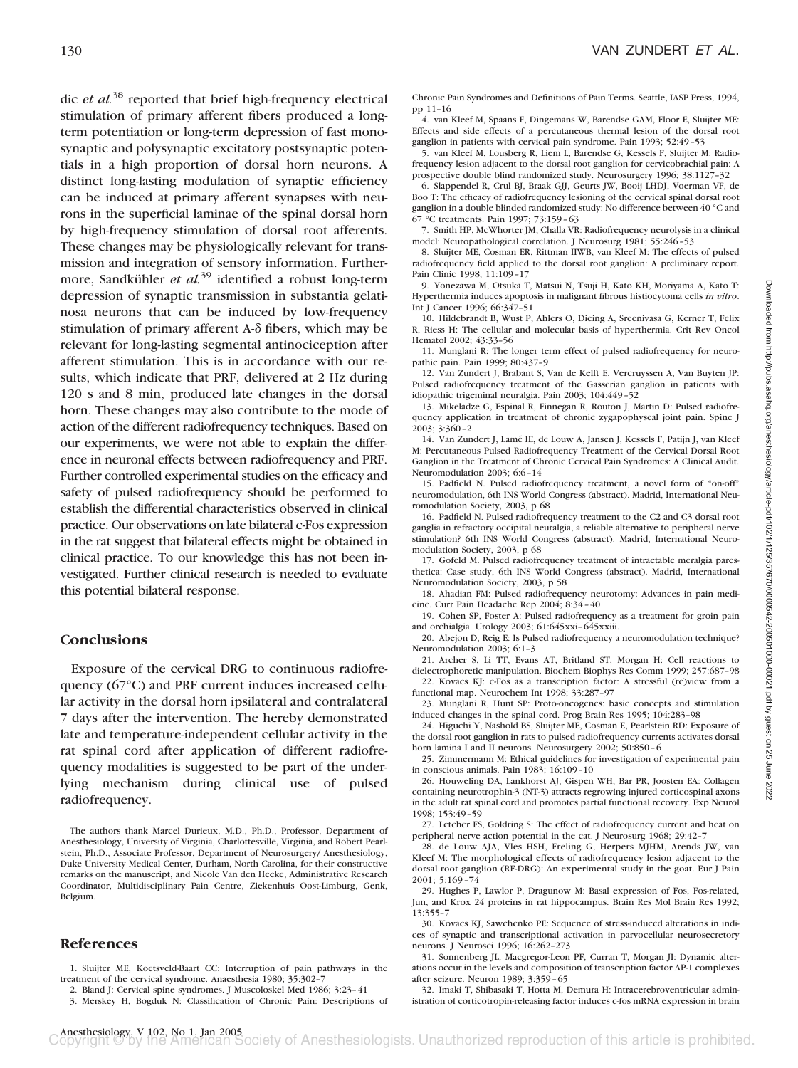dic *et al.*<sup>38</sup> reported that brief high-frequency electrical stimulation of primary afferent fibers produced a longterm potentiation or long-term depression of fast monosynaptic and polysynaptic excitatory postsynaptic potentials in a high proportion of dorsal horn neurons. A distinct long-lasting modulation of synaptic efficiency can be induced at primary afferent synapses with neurons in the superficial laminae of the spinal dorsal horn by high-frequency stimulation of dorsal root afferents. These changes may be physiologically relevant for transmission and integration of sensory information. Furthermore, Sandkühler *et al.*<sup>39</sup> identified a robust long-term depression of synaptic transmission in substantia gelatinosa neurons that can be induced by low-frequency stimulation of primary afferent A- $\delta$  fibers, which may be relevant for long-lasting segmental antinociception after afferent stimulation. This is in accordance with our results, which indicate that PRF, delivered at 2 Hz during 120 s and 8 min, produced late changes in the dorsal horn. These changes may also contribute to the mode of action of the different radiofrequency techniques. Based on our experiments, we were not able to explain the difference in neuronal effects between radiofrequency and PRF. Further controlled experimental studies on the efficacy and safety of pulsed radiofrequency should be performed to establish the differential characteristics observed in clinical practice. Our observations on late bilateral c-Fos expression in the rat suggest that bilateral effects might be obtained in clinical practice. To our knowledge this has not been investigated. Further clinical research is needed to evaluate this potential bilateral response.

#### **Conclusions**

Exposure of the cervical DRG to continuous radiofrequency (67°C) and PRF current induces increased cellular activity in the dorsal horn ipsilateral and contralateral 7 days after the intervention. The hereby demonstrated late and temperature-independent cellular activity in the rat spinal cord after application of different radiofrequency modalities is suggested to be part of the underlying mechanism during clinical use of pulsed radiofrequency.

The authors thank Marcel Durieux, M.D., Ph.D., Professor, Department of Anesthesiology, University of Virginia, Charlottesville, Virginia, and Robert Pearlstein, Ph.D., Associate Professor, Department of Neurosurgery/ Anesthesiology, Duke University Medical Center, Durham, North Carolina, for their constructive remarks on the manuscript, and Nicole Van den Hecke, Administrative Research Coordinator, Multidisciplinary Pain Centre, Ziekenhuis Oost-Limburg, Genk, Belgium.

#### **References**

1. Sluijter ME, Koetsveld-Baart CC: Interruption of pain pathways in the treatment of the cervical syndrome. Anaesthesia 1980; 35:302–7

2. Bland J: Cervical spine syndromes. J Muscoloskel Med 1986; 3:23–41

3. Merskey H, Bogduk N: Classification of Chronic Pain: Descriptions of

Chronic Pain Syndromes and Definitions of Pain Terms. Seattle, IASP Press, 1994, pp 11–16

4. van Kleef M, Spaans F, Dingemans W, Barendse GAM, Floor E, Sluijter ME: Effects and side effects of a percutaneous thermal lesion of the dorsal root ganglion in patients with cervical pain syndrome. Pain 1993; 52:49–53

5. van Kleef M, Lousberg R, Liem L, Barendse G, Kessels F, Sluijter M: Radiofrequency lesion adjacent to the dorsal root ganglion for cervicobrachial pain: A prospective double blind randomized study. Neurosurgery 1996; 38:1127–32

6. Slappendel R, Crul BJ, Braak GJJ, Geurts JW, Booij LHDJ, Voerman VF, de Boo T: The efficacy of radiofrequency lesioning of the cervical spinal dorsal root ganglion in a double blinded randomized study: No difference between 40 °C and 67 °C treatments. Pain 1997; 73:159–63

7. Smith HP, McWhorter JM, Challa VR: Radiofrequency neurolysis in a clinical model: Neuropathological correlation. J Neurosurg 1981; 55:246–53

8. Sluijter ME, Cosman ER, Rittman IIWB, van Kleef M: The effects of pulsed radiofrequency field applied to the dorsal root ganglion: A preliminary report. Pain Clinic 1998; 11:109–17

9. Yonezawa M, Otsuka T, Matsui N, Tsuji H, Kato KH, Moriyama A, Kato T: Hyperthermia induces apoptosis in malignant fibrous histiocytoma cells *in vitro*. Int J Cancer 1996; 66:347–51

10. Hildebrandt B, Wust P, Ahlers O, Dieing A, Sreenivasa G, Kerner T, Felix R, Riess H: The cellular and molecular basis of hyperthermia. Crit Rev Oncol Hematol 2002; 43:33–56

11. Munglani R: The longer term effect of pulsed radiofrequency for neuropathic pain. Pain 1999; 80:437–9

12. Van Zundert J, Brabant S, Van de Kelft E, Vercruyssen A, Van Buyten JP: Pulsed radiofrequency treatment of the Gasserian ganglion in patients with idiopathic trigeminal neuralgia. Pain 2003; 104:449–52

13. Mikeladze G, Espinal R, Finnegan R, Routon J, Martin D: Pulsed radiofrequency application in treatment of chronic zygapophyseal joint pain. Spine J 2003; 3:360–2

14. Van Zundert J, Lamé IE, de Louw A, Jansen J, Kessels F, Patijn J, van Kleef M: Percutaneous Pulsed Radiofrequency Treatment of the Cervical Dorsal Root Ganglion in the Treatment of Chronic Cervical Pain Syndromes: A Clinical Audit. Neuromodulation 2003; 6:6–14

15. Padfield N. Pulsed radiofrequency treatment, a novel form of "on-off" neuromodulation, 6th INS World Congress (abstract). Madrid, International Neuromodulation Society, 2003, p 68

16. Padfield N. Pulsed radiofrequency treatment to the C2 and C3 dorsal root ganglia in refractory occipital neuralgia, a reliable alternative to peripheral nerve stimulation? 6th INS World Congress (abstract). Madrid, International Neuromodulation Society, 2003, p 68

17. Gofeld M. Pulsed radiofrequency treatment of intractable meralgia paresthetica: Case study, 6th INS World Congress (abstract). Madrid, International Neuromodulation Society, 2003, p 58

18. Ahadian FM: Pulsed radiofrequency neurotomy: Advances in pain medicine. Curr Pain Headache Rep 2004; 8:34–40

19. Cohen SP, Foster A: Pulsed radiofrequency as a treatment for groin pain and orchialgia. Urology 2003; 61:645xxi–645xxiii.

20. Abejon D, Reig E: Is Pulsed radiofrequency a neuromodulation technique? Neuromodulation 2003; 6:1–3

21. Archer S, Li TT, Evans AT, Britland ST, Morgan H: Cell reactions to dielectrophoretic manipulation. Biochem Biophys Res Comm 1999; 257:687–98

22. Kovacs KJ: c-Fos as a transcription factor: A stressful (re)view from a functional map. Neurochem Int 1998; 33:287–97

23. Munglani R, Hunt SP: Proto-oncogenes: basic concepts and stimulation induced changes in the spinal cord. Prog Brain Res 1995; 104:283–98

24. Higuchi Y, Nashold BS, Sluijter ME, Cosman E, Pearlstein RD: Exposure of the dorsal root ganglion in rats to pulsed radiofrequency currents activates dorsal horn lamina I and II neurons. Neurosurgery 2002; 50:850–6

25. Zimmermann M: Ethical guidelines for investigation of experimental pain in conscious animals. Pain 1983; 16:109–10

26. Houweling DA, Lankhorst AJ, Gispen WH, Bar PR, Joosten EA: Collagen containing neurotrophin-3 (NT-3) attracts regrowing injured corticospinal axons in the adult rat spinal cord and promotes partial functional recovery. Exp Neurol 1998; 153:49–59

27. Letcher FS, Goldring S: The effect of radiofrequency current and heat on peripheral nerve action potential in the cat. J Neurosurg 1968; 29:42–7

28. de Louw AJA, Vles HSH, Freling G, Herpers MJHM, Arends JW, van Kleef M: The morphological effects of radiofrequency lesion adjacent to the dorsal root ganglion (RF-DRG): An experimental study in the goat. Eur J Pain 2001; 5:169–74

29. Hughes P, Lawlor P, Dragunow M: Basal expression of Fos, Fos-related, Jun, and Krox 24 proteins in rat hippocampus. Brain Res Mol Brain Res 1992; 13:355–7

30. Kovacs KJ, Sawchenko PE: Sequence of stress-induced alterations in indices of synaptic and transcriptional activation in parvocellular neurosecretory neurons. J Neurosci 1996; 16:262–273

31. Sonnenberg JL, Macgregor-Leon PF, Curran T, Morgan JI: Dynamic alterations occur in the levels and composition of transcription factor AP-1 complexes after seizure. Neuron 1989; 3:359–65

32. Imaki T, Shibasaki T, Hotta M, Demura H: Intracerebroventricular administration of corticotropin-releasing factor induces c-fos mRNA expression in brain